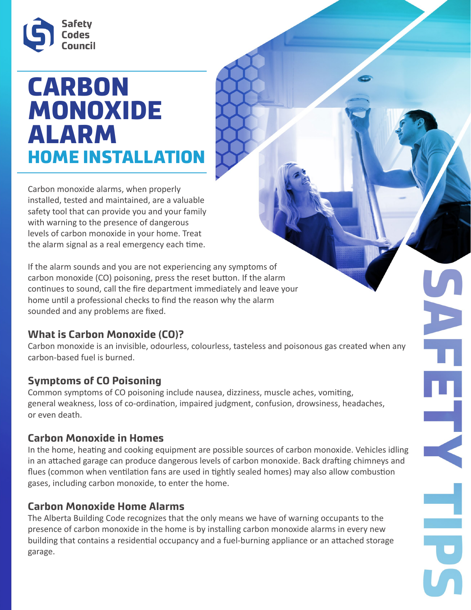

# CARBON MONOXIDE ALARM HOME INSTALLATION

Carbon monoxide alarms, when properly installed, tested and maintained, are a valuable safety tool that can provide you and your family with warning to the presence of dangerous levels of carbon monoxide in your home. Treat the alarm signal as a real emergency each time.

If the alarm sounds and you are not experiencing any symptoms of carbon monoxide (CO) poisoning, press the reset button. If the alarm continues to sound, call the fire department immediately and leave your home until a professional checks to find the reason why the alarm sounded and any problems are fixed.

### **What is Carbon Monoxide (CO)?**

Carbon monoxide is an invisible, odourless, colourless, tasteless and poisonous gas created when any carbon-based fuel is burned.

### **Symptoms of CO Poisoning**

Common symptoms of CO poisoning include nausea, dizziness, muscle aches, vomiting, general weakness, loss of co-ordination, impaired judgment, confusion, drowsiness, headaches, or even death.

### **Carbon Monoxide in Homes**

In the home, heating and cooking equipment are possible sources of carbon monoxide. Vehicles idling in an attached garage can produce dangerous levels of carbon monoxide. Back drafting chimneys and flues (common when ventilation fans are used in tightly sealed homes) may also allow combustion gases, including carbon monoxide, to enter the home.

### **Carbon Monoxide Home Alarms**

The Alberta Building Code recognizes that the only means we have of warning occupants to the presence of carbon monoxide in the home is by installing carbon monoxide alarms in every new building that contains a residential occupancy and a fuel-burning appliance or an attached storage garage.

 $\overline{\mathbf{C}}$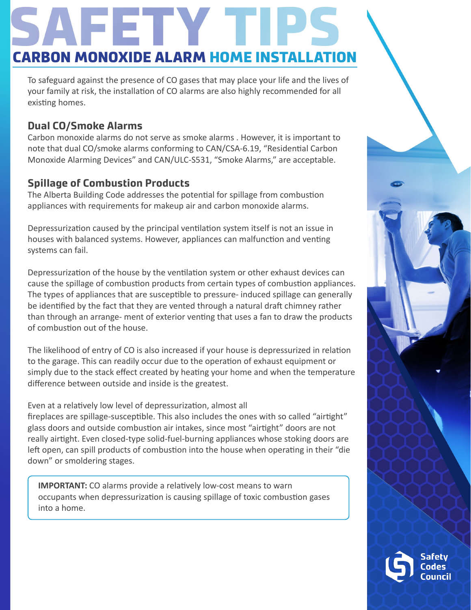# CARBON MONOXIDE ALARM HOME I

To safeguard against the presence of CO gases that may place your life and the lives of your family at risk, the installation of CO alarms are also highly recommended for all existing homes.

# **Dual CO/Smoke Alarms**

Carbon monoxide alarms do not serve as smoke alarms . However, it is important to note that dual CO/smoke alarms conforming to CAN/CSA-6.19, "Residential Carbon Monoxide Alarming Devices" and CAN/ULC-S531, "Smoke Alarms," are acceptable.

# **Spillage of Combustion Products**

The Alberta Building Code addresses the potential for spillage from combustion appliances with requirements for makeup air and carbon monoxide alarms.

Depressurization caused by the principal ventilation system itself is not an issue in houses with balanced systems. However, appliances can malfunction and venting systems can fail.

Depressurization of the house by the ventilation system or other exhaust devices can cause the spillage of combustion products from certain types of combustion appliances. The types of appliances that are susceptible to pressure- induced spillage can generally be identified by the fact that they are vented through a natural draft chimney rather than through an arrange- ment of exterior venting that uses a fan to draw the products of combustion out of the house.

The likelihood of entry of CO is also increased if your house is depressurized in relation to the garage. This can readily occur due to the operation of exhaust equipment or simply due to the stack effect created by heating your home and when the temperature difference between outside and inside is the greatest.

Even at a relatively low level of depressurization, almost all

fireplaces are spillage-susceptible. This also includes the ones with so called "airtight" glass doors and outside combustion air intakes, since most "airtight" doors are not really airtight. Even closed-type solid-fuel-burning appliances whose stoking doors are left open, can spill products of combustion into the house when operating in their "die down" or smoldering stages.

**IMPORTANT:** CO alarms provide a relatively low-cost means to warn occupants when depressurization is causing spillage of toxic combustion gases into a home.



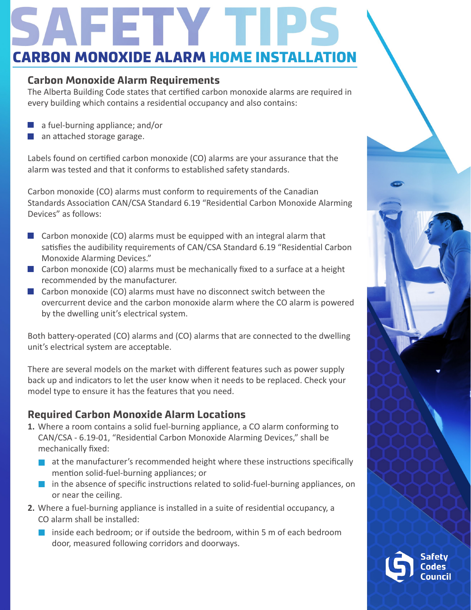# **CARBON MONOXIDE ALARM HOME INSTA**

#### **Carbon Monoxide Alarm Requirements**

The Alberta Building Code states that certified carbon monoxide alarms are required in every building which contains a residential occupancy and also contains:

- a fuel-burning appliance; and/or
- an attached storage garage.

Labels found on certified carbon monoxide (CO) alarms are your assurance that the alarm was tested and that it conforms to established safety standards.

Carbon monoxide (CO) alarms must conform to requirements of the Canadian Standards Association CAN/CSA Standard 6.19 "Residential Carbon Monoxide Alarming Devices" as follows:

- $\blacksquare$  Carbon monoxide (CO) alarms must be equipped with an integral alarm that satisfies the audibility requirements of CAN/CSA Standard 6.19 "Residential Carbon Monoxide Alarming Devices."
- $\blacksquare$  Carbon monoxide (CO) alarms must be mechanically fixed to a surface at a height recommended by the manufacturer.
- $\blacksquare$  Carbon monoxide (CO) alarms must have no disconnect switch between the overcurrent device and the carbon monoxide alarm where the CO alarm is powered by the dwelling unit's electrical system.

Both battery-operated (CO) alarms and (CO) alarms that are connected to the dwelling unit's electrical system are acceptable.

There are several models on the market with different features such as power supply back up and indicators to let the user know when it needs to be replaced. Check your model type to ensure it has the features that you need.

# **Required Carbon Monoxide Alarm Locations**

- **1.** Where a room contains a solid fuel-burning appliance, a CO alarm conforming to CAN/CSA - 6.19-01, "Residential Carbon Monoxide Alarming Devices," shall be mechanically fixed:
	- **at the manufacturer's recommended height where these instructions specifically** mention solid-fuel-burning appliances; or
	- $\blacksquare$  in the absence of specific instructions related to solid-fuel-burning appliances, on or near the ceiling.
- **2.** Where a fuel-burning appliance is installed in a suite of residential occupancy, a CO alarm shall be installed:
	- **I** inside each bedroom; or if outside the bedroom, within 5 m of each bedroom door, measured following corridors and doorways.